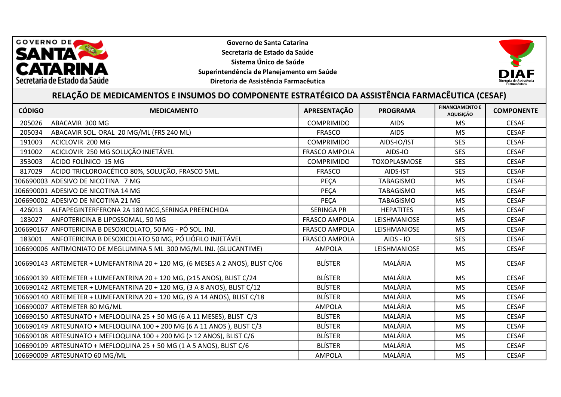

**Governo de Santa Catarina Secretaria de Estado da Saúde Sistema Único de Saúde Superintendência de Planejamento em Saúde Diretoria de Assistência Farmacêutica**



## **RELAÇÃO DE MEDICAMENTOS E INSUMOS DO COMPONENTE ESTRATÉGICO DA ASSISTÊNCIA FARMACÊUTICA (CESAF)**

| <b>CÓDIGO</b> | <b>MEDICAMENTO</b>                                                             | APRESENTAÇÃO         | <b>PROGRAMA</b>     | <b>FINANCIAMENTO E</b><br>AQUISIÇÃO | <b>COMPONENTE</b> |
|---------------|--------------------------------------------------------------------------------|----------------------|---------------------|-------------------------------------|-------------------|
| 205026        | ABACAVIR 300 MG                                                                | <b>COMPRIMIDO</b>    | <b>AIDS</b>         | <b>MS</b>                           | <b>CESAF</b>      |
| 205034        | ABACAVIR SOL. ORAL 20 MG/ML (FRS 240 ML)                                       | <b>FRASCO</b>        | <b>AIDS</b>         | <b>MS</b>                           | <b>CESAF</b>      |
| 191003        | ACICLOVIR 200 MG                                                               | <b>COMPRIMIDO</b>    | AIDS-IO/IST         | <b>SES</b>                          | <b>CESAF</b>      |
| 191002        | ACICLOVIR 250 MG SOLUÇÃO INJETÁVEL                                             | <b>FRASCO AMPOLA</b> | AIDS-IO             | <b>SES</b>                          | <b>CESAF</b>      |
| 353003        | ÁCIDO FOLÍNICO 15 MG                                                           | <b>COMPRIMIDO</b>    | <b>TOXOPLASMOSE</b> | <b>SES</b>                          | <b>CESAF</b>      |
| 817029        | ÁCIDO TRICLOROACÉTICO 80%, SOLUÇÃO, FRASCO 5ML.                                | <b>FRASCO</b>        | AIDS-IST            | <b>SES</b>                          | <b>CESAF</b>      |
|               | 106690003 ADESIVO DE NICOTINA 7 MG                                             | <b>PECA</b>          | <b>TABAGISMO</b>    | <b>MS</b>                           | <b>CESAF</b>      |
|               | 106690001 ADESIVO DE NICOTINA 14 MG                                            | PEÇA                 | <b>TABAGISMO</b>    | <b>MS</b>                           | <b>CESAF</b>      |
|               | 106690002 ADESIVO DE NICOTINA 21 MG                                            | PEÇA                 | <b>TABAGISMO</b>    | <b>MS</b>                           | <b>CESAF</b>      |
| 426013        | ALFAPEGINTERFERONA 2A 180 MCG, SERINGA PREENCHIDA                              | <b>SERINGA PR</b>    | <b>HEPATITES</b>    | <b>MS</b>                           | <b>CESAF</b>      |
| 183027        | <b>ANFOTERICINA B LIPOSSOMAL, 50 MG</b>                                        | <b>FRASCO AMPOLA</b> | LEISHMANIOSE        | MS                                  | <b>CESAF</b>      |
| 106690167     | ANFOTERICINA B DESOXICOLATO, 50 MG - PÓ SOL. INJ.                              | <b>FRASCO AMPOLA</b> | LEISHMANIOSE        | <b>MS</b>                           | <b>CESAF</b>      |
| 183001        | ANFOTERICINA B DESOXICOLATO 50 MG, PÓ LIÓFILO INJETÁVEL                        | <b>FRASCO AMPOLA</b> | <b>AIDS - IO</b>    | <b>SES</b>                          | <b>CESAF</b>      |
|               | 106690006 ANTIMONIATO DE MEGLUMINA 5 ML 300 MG/ML INJ. (GLUCANTIME)            | <b>AMPOLA</b>        | LEISHMANIOSE        | <b>MS</b>                           | <b>CESAF</b>      |
|               | 106690143 ARTEMETER + LUMEFANTRINA 20 + 120 MG, (6 MESES A 2 ANOS), BLIST C/06 | <b>BLÍSTER</b>       | MALÁRIA             | <b>MS</b>                           | <b>CESAF</b>      |
|               | 106690139 ARTEMETER + LUMEFANTRINA 20 + 120 MG, (≥15 ANOS), BLIST C/24         | <b>BLÍSTER</b>       | MALÁRIA             | <b>MS</b>                           | <b>CESAF</b>      |
|               | 106690142 ARTEMETER + LUMEFANTRINA 20 + 120 MG, (3 A 8 ANOS), BLIST C/12       | <b>BLÍSTER</b>       | MALÁRIA             | <b>MS</b>                           | <b>CESAF</b>      |
|               | 106690140 ARTEMETER + LUMEFANTRINA 20 + 120 MG, (9 A 14 ANOS), BLIST C/18      | <b>BLÍSTER</b>       | MALÁRIA             | <b>MS</b>                           | <b>CESAF</b>      |
|               | 106690007 ARTEMETER 80 MG/ML                                                   | <b>AMPOLA</b>        | MALÁRIA             | <b>MS</b>                           | <b>CESAF</b>      |
|               | 106690150 ARTESUNATO + MEFLOQUINA 25 + 50 MG (6 A 11 MESES), BLIST C/3         | <b>BLÍSTER</b>       | MALÁRIA             | <b>MS</b>                           | <b>CESAF</b>      |
|               | 106690149 ARTESUNATO + MEFLOQUINA 100 + 200 MG (6 A 11 ANOS ), BLIST C/3       | <b>BLÍSTER</b>       | MALÁRIA             | <b>MS</b>                           | <b>CESAF</b>      |
|               | 106690108 ARTESUNATO + MEFLOQUINA 100 + 200 MG (> 12 ANOS), BLIST C/6          | <b>BLÍSTER</b>       | MALÁRIA             | <b>MS</b>                           | <b>CESAF</b>      |
|               | 106690109 ARTESUNATO + MEFLOQUINA 25 + 50 MG (1 A 5 ANOS), BLIST C/6           | <b>BLÍSTER</b>       | MALÁRIA             | <b>MS</b>                           | <b>CESAF</b>      |
|               | 106690009 ARTESUNATO 60 MG/ML                                                  | <b>AMPOLA</b>        | MALÁRIA             | <b>MS</b>                           | <b>CESAF</b>      |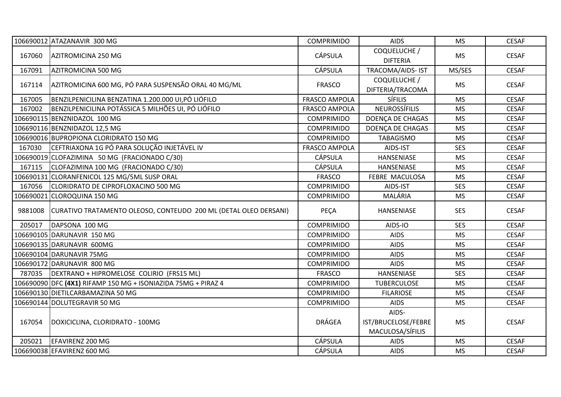|         | 106690012 ATAZANAVIR 300 MG                                      | <b>COMPRIMIDO</b>    | <b>AIDS</b>                                      | <b>MS</b>  | <b>CESAF</b> |
|---------|------------------------------------------------------------------|----------------------|--------------------------------------------------|------------|--------------|
| 167060  | AZITROMICINA 250 MG                                              | <b>CÁPSULA</b>       | COQUELUCHE /<br><b>DIFTERIA</b>                  | <b>MS</b>  | <b>CESAF</b> |
| 167091  | AZITROMICINA 500 MG                                              | <b>CÁPSULA</b>       | TRACOMA/AIDS- IST                                | MS/SES     | <b>CESAF</b> |
| 167114  | AZITROMICINA 600 MG, PÓ PARA SUSPENSÃO ORAL 40 MG/ML             | <b>FRASCO</b>        | COQUELUCHE /<br>DIFTERIA/TRACOMA                 | <b>MS</b>  | <b>CESAF</b> |
| 167005  | BENZILPENICILINA BENZATINA 1.200.000 UI, PÓ LIÓFILO              | <b>FRASCO AMPOLA</b> | <b>SÍFILIS</b>                                   | <b>MS</b>  | <b>CESAF</b> |
| 167002  | BENZILPENICILINA POTÁSSICA 5 MILHÕES UI, PÓ LIÓFILO              | <b>FRASCO AMPOLA</b> | <b>NEUROSSÍFILIS</b>                             | <b>MS</b>  | <b>CESAF</b> |
|         | 106690115 BENZNIDAZOL 100 MG                                     | <b>COMPRIMIDO</b>    | DOENÇA DE CHAGAS                                 | <b>MS</b>  | <b>CESAF</b> |
|         | 106690116 BENZNIDAZOL 12,5 MG                                    | <b>COMPRIMIDO</b>    | DOENÇA DE CHAGAS                                 | <b>MS</b>  | <b>CESAF</b> |
|         | 106690016 BUPROPIONA CLORIDRATO 150 MG                           | <b>COMPRIMIDO</b>    | <b>TABAGISMO</b>                                 | <b>MS</b>  | <b>CESAF</b> |
| 167030  | CEFTRIAXONA 1G PÓ PARA SOLUÇÃO INJETÁVEL IV                      | <b>FRASCO AMPOLA</b> | AIDS-IST                                         | <b>SES</b> | <b>CESAF</b> |
|         | 106690019 CLOFAZIMINA 50 MG (FRACIONADO C/30)                    | <b>CÁPSULA</b>       | HANSENIASE                                       | <b>MS</b>  | <b>CESAF</b> |
| 167115  | CLOFAZIMINA 100 MG (FRACIONADO C/30)                             | <b>CÁPSULA</b>       | HANSENIASE                                       | <b>MS</b>  | <b>CESAF</b> |
|         | 106690131 CLORANFENICOL 125 MG/5ML SUSP ORAL                     | <b>FRASCO</b>        | FEBRE MACULOSA                                   | <b>MS</b>  | <b>CESAF</b> |
| 167056  | CLORIDRATO DE CIPROFLOXACINO 500 MG                              | <b>COMPRIMIDO</b>    | AIDS-IST                                         | <b>SES</b> | <b>CESAF</b> |
|         | 106690021 CLOROQUINA 150 MG                                      | <b>COMPRIMIDO</b>    | MALÁRIA                                          | <b>MS</b>  | <b>CESAF</b> |
| 9881008 | CURATIVO TRATAMENTO OLEOSO, CONTEUDO 200 ML (DETAL OLEO DERSANI) | PEÇA                 | HANSENIASE                                       | <b>SES</b> | <b>CESAF</b> |
| 205017  | DAPSONA 100 MG                                                   | <b>COMPRIMIDO</b>    | AIDS-IO                                          | <b>SES</b> | <b>CESAF</b> |
|         | 106690105 DARUNAVIR 150 MG                                       | <b>COMPRIMIDO</b>    | <b>AIDS</b>                                      | <b>MS</b>  | <b>CESAF</b> |
|         | 106690135 DARUNAVIR 600MG                                        | <b>COMPRIMIDO</b>    | <b>AIDS</b>                                      | <b>MS</b>  | <b>CESAF</b> |
|         | 106690104 DARUNAVIR 75MG                                         | <b>COMPRIMIDO</b>    | <b>AIDS</b>                                      | <b>MS</b>  | <b>CESAF</b> |
|         | 106690172 DARUNAVIR 800 MG                                       | <b>COMPRIMIDO</b>    | <b>AIDS</b>                                      | <b>MS</b>  | <b>CESAF</b> |
| 787035  | DEXTRANO + HIPROMELOSE COLIRIO (FRS15 ML)                        | <b>FRASCO</b>        | HANSENIASE                                       | <b>SES</b> | <b>CESAF</b> |
|         | 106690090 DFC (4X1) RIFAMP 150 MG + ISONIAZIDA 75MG + PIRAZ 4    | <b>COMPRIMIDO</b>    | <b>TUBERCULOSE</b>                               | <b>MS</b>  | <b>CESAF</b> |
|         | 106690130 DIETILCARBAMAZINA 50 MG                                | <b>COMPRIMIDO</b>    | <b>FILARIOSE</b>                                 | <b>MS</b>  | <b>CESAF</b> |
|         | 106690144 DOLUTEGRAVIR 50 MG                                     | <b>COMPRIMIDO</b>    | <b>AIDS</b>                                      | <b>MS</b>  | <b>CESAF</b> |
| 167054  | DOXICICLINA, CLORIDRATO - 100MG                                  | <b>DRÁGEA</b>        | AIDS-<br>IST/BRUCELOSE/FEBRE<br>MACULOSA/SÍFILIS | <b>MS</b>  | <b>CESAF</b> |
| 205021  | <b>EFAVIRENZ 200 MG</b>                                          | <b>CÁPSULA</b>       | <b>AIDS</b>                                      | <b>MS</b>  | <b>CESAF</b> |
|         | 106690038 EFAVIRENZ 600 MG                                       | <b>CÁPSULA</b>       | <b>AIDS</b>                                      | <b>MS</b>  | <b>CESAF</b> |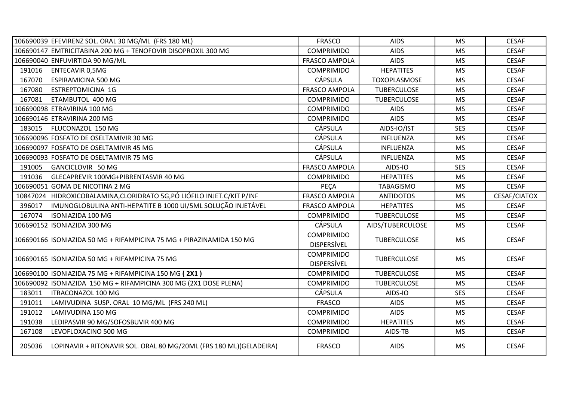|          | 106690039 EFEVIRENZ SOL. ORAL 30 MG/ML (FRS 180 ML)                  | <b>FRASCO</b>                           | <b>AIDS</b>         | <b>MS</b>  | <b>CESAF</b>        |
|----------|----------------------------------------------------------------------|-----------------------------------------|---------------------|------------|---------------------|
|          | 106690147 EMTRICITABINA 200 MG + TENOFOVIR DISOPROXIL 300 MG         | <b>COMPRIMIDO</b>                       | <b>AIDS</b>         | <b>MS</b>  | <b>CESAF</b>        |
|          | 106690040 ENFUVIRTIDA 90 MG/ML                                       | <b>FRASCO AMPOLA</b>                    | <b>AIDS</b>         | <b>MS</b>  | <b>CESAF</b>        |
| 191016   | <b>ENTECAVIR 0,5MG</b>                                               | <b>COMPRIMIDO</b>                       | <b>HEPATITES</b>    | <b>MS</b>  | <b>CESAF</b>        |
| 167070   | <b>ESPIRAMICINA 500 MG</b>                                           | <b>CÁPSULA</b>                          | <b>TOXOPLASMOSE</b> | <b>MS</b>  | <b>CESAF</b>        |
| 167080   | <b>ESTREPTOMICINA 1G</b>                                             | <b>FRASCO AMPOLA</b>                    | <b>TUBERCULOSE</b>  | <b>MS</b>  | <b>CESAF</b>        |
| 167081   | ETAMBUTOL 400 MG                                                     | <b>COMPRIMIDO</b>                       | <b>TUBERCULOSE</b>  | <b>MS</b>  | <b>CESAF</b>        |
|          | 106690098 ETRAVIRINA 100 MG                                          | <b>COMPRIMIDO</b>                       | <b>AIDS</b>         | <b>MS</b>  | <b>CESAF</b>        |
|          | 106690146 ETRAVIRINA 200 MG                                          | <b>COMPRIMIDO</b>                       | <b>AIDS</b>         | <b>MS</b>  | <b>CESAF</b>        |
| 183015   | <b>FLUCONAZOL 150 MG</b>                                             | <b>CÁPSULA</b>                          | AIDS-IO/IST         | <b>SES</b> | <b>CESAF</b>        |
|          | 106690096 FOSFATO DE OSELTAMIVIR 30 MG                               | <b>CÁPSULA</b>                          | INFLUENZA           | <b>MS</b>  | <b>CESAF</b>        |
|          | 106690097 FOSFATO DE OSELTAMIVIR 45 MG                               | <b>CÁPSULA</b>                          | INFLUENZA           | <b>MS</b>  | <b>CESAF</b>        |
|          | 106690093 FOSFATO DE OSELTAMIVIR 75 MG                               | <b>CÁPSULA</b>                          | INFLUENZA           | <b>MS</b>  | <b>CESAF</b>        |
| 191005   | GANCICLOVIR 50 MG                                                    | <b>FRASCO AMPOLA</b>                    | AIDS-IO             | <b>SES</b> | <b>CESAF</b>        |
| 191036   | GLECAPREVIR 100MG+PIBRENTASVIR 40 MG                                 | <b>COMPRIMIDO</b>                       | <b>HEPATITES</b>    | <b>MS</b>  | <b>CESAF</b>        |
|          | 106690051 GOMA DE NICOTINA 2 MG                                      | PECA                                    | <b>TABAGISMO</b>    | <b>MS</b>  | <b>CESAF</b>        |
| 10847024 | HIDROXICOBALAMINA, CLORIDRATO 5G, PÓ LIÓFILO INJET.C/KIT P/INF       | <b>FRASCO AMPOLA</b>                    | <b>ANTIDOTOS</b>    | <b>MS</b>  | <b>CESAF/CIATOX</b> |
| 396017   | IMUNOGLOBULINA ANTI-HEPATITE B 1000 UI/5ML SOLUÇÃO INJETÁVEL         | <b>FRASCO AMPOLA</b>                    | <b>HEPATITES</b>    | <b>MS</b>  | <b>CESAF</b>        |
| 167074   | <b>ISONIAZIDA 100 MG</b>                                             | <b>COMPRIMIDO</b>                       | <b>TUBERCULOSE</b>  | <b>MS</b>  | <b>CESAF</b>        |
|          | 106690152 ISONIAZIDA 300 MG                                          | <b>CÁPSULA</b>                          | AIDS/TUBERCULOSE    | <b>MS</b>  | <b>CESAF</b>        |
|          | 106690166 ISONIAZIDA 50 MG + RIFAMPICINA 75 MG + PIRAZINAMIDA 150 MG | <b>COMPRIMIDO</b><br><b>DISPERSÍVEL</b> | <b>TUBERCULOSE</b>  | <b>MS</b>  | <b>CESAF</b>        |
|          | 106690165 ISONIAZIDA 50 MG + RIFAMPICINA 75 MG                       | <b>COMPRIMIDO</b><br><b>DISPERSÍVEL</b> | <b>TUBERCULOSE</b>  | <b>MS</b>  | <b>CESAF</b>        |
|          | 106690100   ISONIAZIDA 75 MG + RIFAMPICINA 150 MG (2X1)              | <b>COMPRIMIDO</b>                       | <b>TUBERCULOSE</b>  | <b>MS</b>  | <b>CESAF</b>        |
|          | 106690092 ISONIAZIDA 150 MG + RIFAMPICINA 300 MG (2X1 DOSE PLENA)    | <b>COMPRIMIDO</b>                       | <b>TUBERCULOSE</b>  | <b>MS</b>  | <b>CESAF</b>        |
| 183011   | <b>ITRACONAZOL 100 MG</b>                                            | <b>CÁPSULA</b>                          | AIDS-IO             | <b>SES</b> | <b>CESAF</b>        |
| 191011   | LAMIVUDINA SUSP. ORAL 10 MG/ML (FRS 240 ML)                          | <b>FRASCO</b>                           | <b>AIDS</b>         | <b>MS</b>  | <b>CESAF</b>        |
| 191012   | LAMIVUDINA 150 MG                                                    | <b>COMPRIMIDO</b>                       | <b>AIDS</b>         | <b>MS</b>  | <b>CESAF</b>        |
| 191038   | LEDIPASVIR 90 MG/SOFOSBUVIR 400 MG                                   | <b>COMPRIMIDO</b>                       | <b>HEPATITES</b>    | <b>MS</b>  | <b>CESAF</b>        |
| 167108   | LEVOFLOXACINO 500 MG                                                 | <b>COMPRIMIDO</b>                       | AIDS-TB             | <b>MS</b>  | <b>CESAF</b>        |
| 205036   | LOPINAVIR + RITONAVIR SOL. ORAL 80 MG/20ML (FRS 180 ML) (GELADEIRA)  | <b>FRASCO</b>                           | <b>AIDS</b>         | <b>MS</b>  | <b>CESAF</b>        |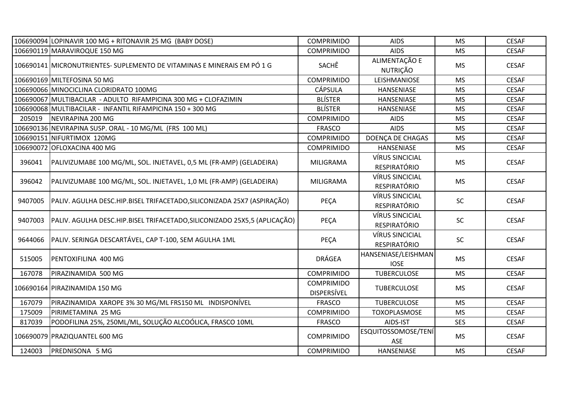|         | 106690094 LOPINAVIR 100 MG + RITONAVIR 25 MG (BABY DOSE)                  | <b>COMPRIMIDO</b>                       | <b>AIDS</b>                                   | <b>MS</b>  | <b>CESAF</b> |
|---------|---------------------------------------------------------------------------|-----------------------------------------|-----------------------------------------------|------------|--------------|
|         | 106690119 MARAVIROQUE 150 MG                                              | <b>COMPRIMIDO</b>                       | <b>AIDS</b>                                   | <b>MS</b>  | <b>CESAF</b> |
|         | 106690141 MICRONUTRIENTES- SUPLEMENTO DE VITAMINAS E MINERAIS EM PÓ 1 G   | SACHÊ                                   | ALIMENTAÇÃO E<br><b>NUTRIÇÃO</b>              | <b>MS</b>  | <b>CESAF</b> |
|         | 106690169 MILTEFOSINA 50 MG                                               | <b>COMPRIMIDO</b>                       | LEISHMANIOSE                                  | <b>MS</b>  | <b>CESAF</b> |
|         | 106690066 MINOCICLINA CLORIDRATO 100MG                                    | <b>CÁPSULA</b>                          | <b>HANSENIASE</b>                             | <b>MS</b>  | <b>CESAF</b> |
|         | 106690067 MULTIBACILAR - ADULTO RIFAMPICINA 300 MG + CLOFAZIMIN           | <b>BLÍSTER</b>                          | HANSENIASE                                    | <b>MS</b>  | <b>CESAF</b> |
|         | 106690068 MULTIBACILAR - INFANTIL RIFAMPICINA 150 + 300 MG                | <b>BLÍSTER</b>                          | <b>HANSENIASE</b>                             | <b>MS</b>  | <b>CESAF</b> |
| 205019  | NEVIRAPINA 200 MG                                                         | <b>COMPRIMIDO</b>                       | <b>AIDS</b>                                   | <b>MS</b>  | <b>CESAF</b> |
|         | 106690136 NEVIRAPINA SUSP. ORAL - 10 MG/ML (FRS 100 ML)                   | <b>FRASCO</b>                           | <b>AIDS</b>                                   | <b>MS</b>  | <b>CESAF</b> |
|         | 106690151 NIFURTIMOX 120MG                                                | <b>COMPRIMIDO</b>                       | DOENÇA DE CHAGAS                              | <b>MS</b>  | <b>CESAF</b> |
|         | 106690072 OFLOXACINA 400 MG                                               | <b>COMPRIMIDO</b>                       | <b>HANSENIASE</b>                             | <b>MS</b>  | <b>CESAF</b> |
| 396041  | PALIVIZUMABE 100 MG/ML, SOL. INJETAVEL, 0,5 ML (FR-AMP) (GELADEIRA)       | MILIGRAMA                               | <b>VÍRUS SINCICIAL</b><br>RESPIRATÓRIO        | <b>MS</b>  | <b>CESAF</b> |
| 396042  | PALIVIZUMABE 100 MG/ML, SOL. INJETAVEL, 1,0 ML (FR-AMP) (GELADEIRA)       | MILIGRAMA                               | <b>VÍRUS SINCICIAL</b><br>RESPIRATÓRIO        | <b>MS</b>  | <b>CESAF</b> |
| 9407005 | PALIV. AGULHA DESC.HIP.BISEL TRIFACETADO, SILICONIZADA 25X7 (ASPIRAÇÃO)   | PEÇA                                    | <b>VÍRUS SINCICIAL</b><br><b>RESPIRATÓRIO</b> | <b>SC</b>  | <b>CESAF</b> |
| 9407003 | PALIV. AGULHA DESC.HIP.BISEL TRIFACETADO, SILICONIZADO 25X5,5 (APLICAÇÃO) | PEÇA                                    | <b>VÍRUS SINCICIAL</b><br>RESPIRATÓRIO        | <b>SC</b>  | <b>CESAF</b> |
| 9644066 | PALIV. SERINGA DESCARTÁVEL, CAP T-100, SEM AGULHA 1ML                     | PEÇA                                    | <b>VÍRUS SINCICIAL</b><br><b>RESPIRATÓRIO</b> | <b>SC</b>  | <b>CESAF</b> |
| 515005  | PENTOXIFILINA 400 MG                                                      | DRÁGEA                                  | HANSENIASE/LEISHMAN<br><b>IOSE</b>            | <b>MS</b>  | <b>CESAF</b> |
| 167078  | PIRAZINAMIDA 500 MG                                                       | <b>COMPRIMIDO</b>                       | <b>TUBERCULOSE</b>                            | <b>MS</b>  | <b>CESAF</b> |
|         | 106690164 PIRAZINAMIDA 150 MG                                             | <b>COMPRIMIDO</b><br><b>DISPERSÍVEL</b> | <b>TUBERCULOSE</b>                            | <b>MS</b>  | <b>CESAF</b> |
| 167079  | PIRAZINAMIDA XAROPE 3% 30 MG/ML FRS150 ML INDISPONÍVEL                    | <b>FRASCO</b>                           | <b>TUBERCULOSE</b>                            | <b>MS</b>  | <b>CESAF</b> |
| 175009  | PIRIMETAMINA 25 MG                                                        | <b>COMPRIMIDO</b>                       | TOXOPLASMOSE                                  | <b>MS</b>  | <b>CESAF</b> |
| 817039  | PODOFILINA 25%, 250ML/ML, SOLUÇÃO ALCOÓLICA, FRASCO 10ML                  | <b>FRASCO</b>                           | AIDS-IST                                      | <b>SES</b> | <b>CESAF</b> |
|         | 106690079 PRAZIQUANTEL 600 MG                                             | <b>COMPRIMIDO</b>                       | <b>ESQUITOSSOMOSE/TENÍ</b><br>ASE             | <b>MS</b>  | <b>CESAF</b> |
| 124003  | PREDNISONA 5 MG                                                           | <b>COMPRIMIDO</b>                       | HANSENIASE                                    | <b>MS</b>  | <b>CESAF</b> |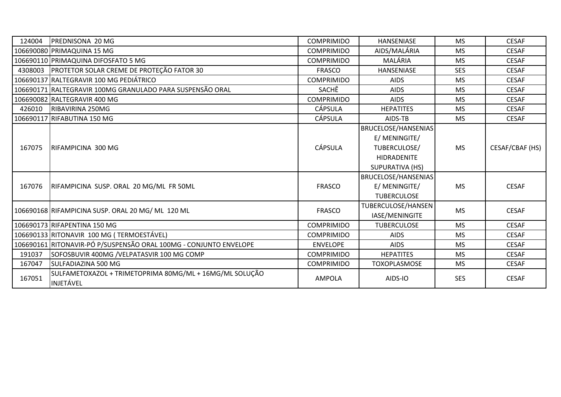| 124004 | PREDNISONA 20 MG                                                     | <b>COMPRIMIDO</b> | <b>HANSENIASE</b>          | <b>MS</b>  | <b>CESAF</b>    |
|--------|----------------------------------------------------------------------|-------------------|----------------------------|------------|-----------------|
|        | 106690080 PRIMAQUINA 15 MG                                           | <b>COMPRIMIDO</b> | AIDS/MALÁRIA               | <b>MS</b>  | <b>CESAF</b>    |
|        | 106690110 PRIMAQUINA DIFOSFATO 5 MG                                  | <b>COMPRIMIDO</b> | MALÁRIA                    | <b>MS</b>  | <b>CESAF</b>    |
|        | 4308003   PROTETOR SOLAR CREME DE PROTEÇÃO FATOR 30                  | <b>FRASCO</b>     | <b>HANSENIASE</b>          | <b>SES</b> | <b>CESAF</b>    |
|        | 106690137 RALTEGRAVIR 100 MG PEDIÁTRICO                              | <b>COMPRIMIDO</b> | <b>AIDS</b>                | <b>MS</b>  | <b>CESAF</b>    |
|        | 106690171 RALTEGRAVIR 100MG GRANULADO PARA SUSPENSÃO ORAL            | SACHÊ             | <b>AIDS</b>                | <b>MS</b>  | <b>CESAF</b>    |
|        | 106690082 RALTEGRAVIR 400 MG                                         | <b>COMPRIMIDO</b> | <b>AIDS</b>                | <b>MS</b>  | <b>CESAF</b>    |
| 426010 | RIBAVIRINA 250MG                                                     | <b>CÁPSULA</b>    | <b>HEPATITES</b>           | <b>MS</b>  | <b>CESAF</b>    |
|        | 106690117 RIFABUTINA 150 MG                                          | <b>CÁPSULA</b>    | AIDS-TB                    | <b>MS</b>  | <b>CESAF</b>    |
|        | RIFAMPICINA 300 MG                                                   | <b>CÁPSULA</b>    | <b>BRUCELOSE/HANSENIAS</b> |            | CESAF/CBAF (HS) |
|        |                                                                      |                   | E/ MENINGITE/              | <b>MS</b>  |                 |
| 167075 |                                                                      |                   | TUBERCULOSE/               |            |                 |
|        |                                                                      |                   | <b>HIDRADENITE</b>         |            |                 |
|        |                                                                      |                   | SUPURATIVA (HS)            |            |                 |
|        |                                                                      |                   | BRUCELOSE/HANSENIAS        |            |                 |
| 167076 | RIFAMPICINA SUSP. ORAL 20 MG/ML FR 50ML                              | <b>FRASCO</b>     | E/ MENINGITE/              | <b>MS</b>  | <b>CESAF</b>    |
|        |                                                                      |                   | <b>TUBERCULOSE</b>         |            |                 |
|        |                                                                      |                   | TUBERCULOSE/HANSEN         |            |                 |
|        | 106690168 RIFAMPICINA SUSP. ORAL 20 MG/ ML 120 ML                    | <b>FRASCO</b>     | IASE/MENINGITE             | <b>MS</b>  | <b>CESAF</b>    |
|        | 106690173 RIFAPENTINA 150 MG                                         | <b>COMPRIMIDO</b> | <b>TUBERCULOSE</b>         | <b>MS</b>  | <b>CESAF</b>    |
|        | 106690133 RITONAVIR 100 MG (TERMOESTÁVEL)                            | <b>COMPRIMIDO</b> | <b>AIDS</b>                | <b>MS</b>  | <b>CESAF</b>    |
|        | 106690161 RITONAVIR-PÓ P/SUSPENSÃO ORAL 100MG - CONJUNTO ENVELOPE    | <b>ENVELOPE</b>   | <b>AIDS</b>                | <b>MS</b>  | <b>CESAF</b>    |
| 191037 | SOFOSBUVIR 400MG / VELPATASVIR 100 MG COMP                           | <b>COMPRIMIDO</b> | <b>HEPATITES</b>           | <b>MS</b>  | <b>CESAF</b>    |
| 167047 | <b>SULFADIAZINA 500 MG</b>                                           | <b>COMPRIMIDO</b> | <b>TOXOPLASMOSE</b>        | <b>MS</b>  | <b>CESAF</b>    |
| 167051 | SULFAMETOXAZOL + TRIMETOPRIMA 80MG/ML + 16MG/ML SOLUÇÃO<br>INJETÁVEL | <b>AMPOLA</b>     | AIDS-IO                    | <b>SES</b> | <b>CESAF</b>    |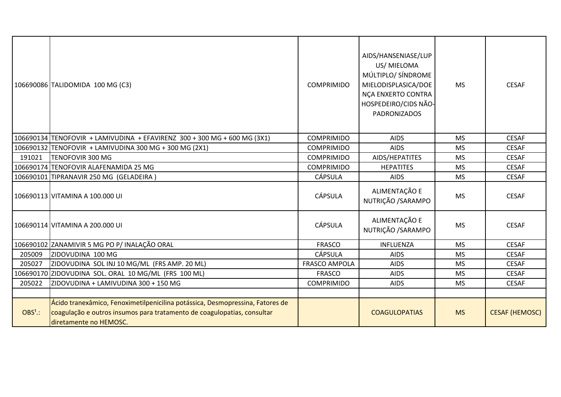|           | 106690086 TALIDOMIDA 100 MG (C3)                                                                                                                                                   | <b>COMPRIMIDO</b>    | AIDS/HANSENIASE/LUP<br>US/ MIELOMA<br>MÚLTIPLO/ SÍNDROME<br>MIELODISPLASICA/DOE<br>NÇA ENXERTO CONTRA<br>HOSPEDEIRO/CIDS NÃO-<br><b>PADRONIZADOS</b> | <b>MS</b> | <b>CESAF</b>          |
|-----------|------------------------------------------------------------------------------------------------------------------------------------------------------------------------------------|----------------------|------------------------------------------------------------------------------------------------------------------------------------------------------|-----------|-----------------------|
|           | 106690134 TENOFOVIR + LAMIVUDINA + EFAVIRENZ 300 + 300 MG + 600 MG (3X1)                                                                                                           | <b>COMPRIMIDO</b>    | <b>AIDS</b>                                                                                                                                          | <b>MS</b> | <b>CESAF</b>          |
|           | 106690132 TENOFOVIR + LAMIVUDINA 300 MG + 300 MG (2X1)                                                                                                                             | <b>COMPRIMIDO</b>    | <b>AIDS</b>                                                                                                                                          | <b>MS</b> | <b>CESAF</b>          |
| 191021    | <b>TENOFOVIR 300 MG</b>                                                                                                                                                            | <b>COMPRIMIDO</b>    | AIDS/HEPATITES                                                                                                                                       | <b>MS</b> | <b>CESAF</b>          |
|           | 106690174 TENOFOVIR ALAFENAMIDA 25 MG                                                                                                                                              | <b>COMPRIMIDO</b>    | <b>HEPATITES</b>                                                                                                                                     | <b>MS</b> | <b>CESAF</b>          |
|           | 106690101 TIPRANAVIR 250 MG (GELADEIRA)                                                                                                                                            | <b>CÁPSULA</b>       | <b>AIDS</b>                                                                                                                                          | <b>MS</b> | <b>CESAF</b>          |
|           | 106690113 VITAMINA A 100.000 UI                                                                                                                                                    | <b>CÁPSULA</b>       | ALIMENTAÇÃO E<br>NUTRIÇÃO / SARAMPO                                                                                                                  | <b>MS</b> | <b>CESAF</b>          |
|           | 106690114 VITAMINA A 200.000 UI                                                                                                                                                    | <b>CÁPSULA</b>       | ALIMENTAÇÃO E<br>NUTRIÇÃO / SARAMPO                                                                                                                  | <b>MS</b> | <b>CESAF</b>          |
|           | 106690102 ZANAMIVIR 5 MG PO P/ INALAÇÃO ORAL                                                                                                                                       | <b>FRASCO</b>        | INFLUENZA                                                                                                                                            | <b>MS</b> | <b>CESAF</b>          |
| 205009    | ZIDOVUDINA 100 MG                                                                                                                                                                  | <b>CÁPSULA</b>       | <b>AIDS</b>                                                                                                                                          | <b>MS</b> | <b>CESAF</b>          |
| 205027    | ZIDOVUDINA SOL INJ 10 MG/ML (FRS AMP. 20 ML)                                                                                                                                       | <b>FRASCO AMPOLA</b> | <b>AIDS</b>                                                                                                                                          | <b>MS</b> | <b>CESAF</b>          |
|           | 106690170 ZIDOVUDINA SOL. ORAL 10 MG/ML (FRS 100 ML)                                                                                                                               | <b>FRASCO</b>        | <b>AIDS</b>                                                                                                                                          | <b>MS</b> | <b>CESAF</b>          |
| 205022    | ZIDOVUDINA + LAMIVUDINA 300 + 150 MG                                                                                                                                               | <b>COMPRIMIDO</b>    | <b>AIDS</b>                                                                                                                                          | <b>MS</b> | <b>CESAF</b>          |
|           |                                                                                                                                                                                    |                      |                                                                                                                                                      |           |                       |
| $OBS1$ .: | Ácido tranexâmico, Fenoximetilpenicilina potássica, Desmopressina, Fatores de<br>coagulação e outros insumos para tratamento de coagulopatias, consultar<br>diretamente no HEMOSC. |                      | <b>COAGULOPATIAS</b>                                                                                                                                 | <b>MS</b> | <b>CESAF (HEMOSC)</b> |